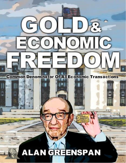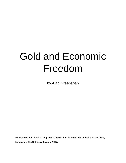## Gold and Economic Freedom

by Alan Greenspan

**Published in Ayn Rand's "Objectivist" newsletter in 1966, and reprinted in her book, Capitalism: The Unknown Ideal, in 1967.**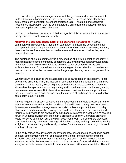An almost hysterical antagonism toward the gold standard is one issue which unites statists of all persuasions. They seem to sense — perhaps more clearly and subtly than many consistent defenders of laissez-faire — that gold and economic freedom are inseparable, that the gold standard is an instrument of laissez-faire and that each implies and requires the other.

In order to understand the source of their antagonism, it is necessary first to understand the specific role of gold in a free society.

**Money is the common denominator of all economic transactions**. It is that commodity which serves as a medium of exchange, is universally acceptable to all participants in an exchange economy as payment for their goods or services, and can, therefore, be used as a standard of market value and as a store of value, i.e., as a means of saving.

The existence of such a commodity is a precondition of a division of labor economy. If men did not have some commodity of objective value which was generally acceptable as money, they would have to resort to primitive barter or be forced to live on selfsufficient farms and forgo the inestimable advantages of specialization. If men had no means to store value, i.e., to save, neither long-range planning nor exchange would be possible.

What medium of exchange will be acceptable to all participants in an economy is not determined arbitrarily. First, the medium of exchange should be durable. In a primitive society of meager wealth, wheat might be sufficiently durable to serve as a medium, since all exchanges would occur only during and immediately after the harvest, leaving no value-surplus to store. But where store-of-value considerations are important, as they are in richer, more civilized societies, the medium of exchange must be a durable commodity, usually a metal.

A metal is generally chosen because it is homogeneous and divisible: every unit is the same as every other and it can be blended or formed in any quantity. Precious jewels, for example, are neither homogeneous nor divisible. More important, the commodity chosen as a medium must be a luxury. Human desires for luxuries are unlimited and, therefore, luxury goods are always in demand and will always be acceptable. Wheat is a luxury in underfed civilizations, but not in a prosperous society. Cigarettes ordinarily would not serve as money, but they did in post-World War II Europe where they were considered a luxury. The term "luxury good" implies scarcity and high unit value. Having a high unit value, such a good is easily portable; for instance, an ounce of gold is worth a half-ton of pig iron.

In the early stages of a developing money economy, several media of exchange might be used, since a wide variety of commodities would fulfill the foregoing conditions. However, one of the commodities will gradually displace all others, by being more widely acceptable. Preferences on what to hold as a store of value will shift to the most widely acceptable commodity, which, in turn, will make it still more acceptable. The shift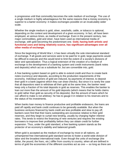is progressive until that commodity becomes the sole medium of exchange. The use of a single medium is highly advantageous for the same reasons that a money economy is superior to a barter economy: it makes exchanges possible on an incalculably wider scale.

Whether the single medium is gold, silver, seashells, cattle, or tobacco is optional, depending on the context and development of a given economy. In fact, all have been employed, at various times, as media of exchange. Even in the present century, two major commodities, gold and silver, have been used as international media of exchange, with gold becoming the predominant one. **Gold, having both artistic and functional uses and being relatively scarce, has significant advantages over all other media of exchange.**

Since the beginning of World War I, it has been virtually the sole international standard of exchange. If all goods and services were to be paid for in gold, large payments would be difficult to execute and this would tend to limit the extent of a society's divisions of labor and specialization. Thus a logical extension of the creation of a medium of exchange is the development of a banking system and credit instruments (bank notes and deposits) which act as a substitute for, but are convertible into, gold.

A free banking system based on gold is able to extend credit and thus to create bank notes (currency) and deposits, according to the production requirements of the economy. Individual owners of gold are induced, by payments of interest, to deposit their gold in a bank (against which they can draw checks). But since it is rarely the case that all depositors want to withdraw all their gold at the same time, the banker need keep only a fraction of his total deposits in gold as reserves. This enables the banker to loan out more than the amount of his gold deposits (which means that he holds claims to gold rather than gold as security of his deposits). But the amount of loans which he can afford to make is not arbitrary: he has to gauge it in relation to his reserves and to the status of his investments.

When banks loan money to finance productive and profitable endeavors, the loans are paid off rapidly and bank credit continues to be generally available. But when the business ventures financed by bank credit are less profitable and slow to pay off, bankers soon find that their loans outstanding are excessive relative to their gold reserves, and they begin to curtail new lending, usually by charging higher interest rates. This tends to restrict the financing of new ventures and requires the existing borrowers to improve their profitability before they can obtain credit for further expansion. Thus, under the gold standard, a free banking system stands as the protector of an economy's stability and balanced growth.

When gold is accepted as the medium of exchange by most or all nations, an unhampered free international gold standard serves to foster a world-wide division of labor and the broadest international trade. Even though the units of exchange (the dollar, the pound, the franc, etc.) differ from country to country, when all are defined in terms of gold the economies of the different countries act as one — so long as there are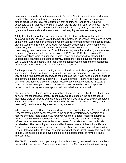no restraints on trade or on the movement of capital. Credit, interest rates, and prices tend to follow similar patterns in all countries. For example, if banks in one country extend credit too liberally, interest rates in that country will tend to fall, inducing depositors to shift their gold to higher-interest paying banks in other countries. This will immediately cause a shortage of bank reserves in the "easy money" country, inducing tighter credit standards and a return to competitively higher interest rates again.

A fully free banking system and fully consistent gold standard have not as yet been achieved. But prior to World War I, the banking system in the United States (and in most of the world) was based on gold and even though governments intervened occasionally, banking was more free than controlled. Periodically, as a result of overly rapid credit expansion, banks became loaned up to the limit of their gold reserves, interest rates rose sharply, new credit was cut off, and the economy went into a sharp, but short-lived recession. (Compared with the depressions of 1920 and 1932, the pre-World War I business declines were mild indeed.) It was limited gold reserves that stopped the unbalanced expansions of business activity, before they could develop into the post-World War I type of disaster. The readjustment periods were short and the economies quickly reestablished a sound basis to resume expansion.

But the process of cure was misdiagnosed as the disease: if shortage of bank reserves was causing a business decline — argued economic interventionists — why not find a way of supplying increased reserves to the banks so they never need be short! If banks can continue to loan money indefinitely — it was claimed — there need never be any slumps in business. And so the Federal Reserve System was organized in 1913. It consisted of twelve regional Federal Reserve banks nominally owned by private bankers, but in fact government sponsored, controlled, and supported.

Credit extended by these banks is in practice (though not legally) backed by the taxing power of the federal government. Technically, we remained on the gold standard; individuals were still free to own gold, and gold continued to be used as bank reserves. But now, in addition to gold, credit extended by the Federal Reserve banks ("paper reserves") could serve as legal tender to pay depositors.

When business in the United States underwent a mild contraction in 1927, the Federal Reserve created more paper reserves in the hope of forestalling any possible bank reserve shortage. More disastrous, however, was the Federal Reserve's attempt to assist Great Britain who had been losing gold to us because the Bank of England refused to allow interest rates to rise when market forces dictated (it was politically unpalatable). The reasoning of the authorities involved was as follows: if the Federal Reserve pumped excessive paper reserves into American banks, interest rates in the United States would fall to a level comparable with those in Great Britain; this would act to stop Britain's gold loss and avoid the political embarrassment of having to raise interest rates.

The "Fed" succeeded; it stopped the gold loss, but it nearly destroyed the economies of the world, in the process. The excess credit which the Fed pumped into the economy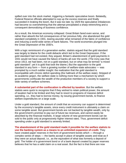spilled over into the stock market, triggering a fantastic speculative boom. Belatedly, Federal Reserve officials attempted to sop up the excess reserves and finally succeeded in braking the boom. But it was too late: by 1929 the speculative imbalances had become so overwhelming that the attempt precipitated a sharp retrenching and a consequent demoralizing of business confidence.

As a result, the American economy collapsed. Great Britain fared even worse, and rather than absorb the full consequences of her previous folly, she abandoned the gold standard completely in 1931, tearing asunder what remained of the fabric of confidence and inducing a world-wide series of bank failures. The world economies plunged into the Great Depression of the 1930's.

With a logic reminiscent of a generation earlier, statists argued that the gold standard was largely to blame for the credit debacle which led to the Great Depression. If the gold standard had not existed, they argued, Britain's abandonment of gold payments in 1931 would not have caused the failure of banks all over the world. (The irony was that since 1913, we had been, not on a gold standard, but on what may be termed "a mixed gold standard"; yet it is gold that took the blame.) But the opposition to the gold standard in any form — from a growing number of welfare-state advocates — was prompted by a much subtler insight: the realization that the gold standard is incompatible with chronic deficit spending (the hallmark of the welfare state). Stripped of its academic jargon, the welfare state is nothing more than a mechanism by which governments confiscate the wealth of the productive members of a society to support a wide variety of welfare schemes.

**A substantial part of the confiscation is effected by taxation**. But the welfare statists were quick to recognize that if they wished to retain political power, the amount of taxation had to be limited and they had to resort to programs of massive deficit spending, i.e., they had to borrow money, by issuing government bonds, to finance welfare expenditures on a large scale.

Under a gold standard, the amount of credit that an economy can support is determined by the economy's tangible assets, since every credit instrument is ultimately a claim on some tangible asset. But government bonds are not backed by tangible wealth, only by the government's promise to pay out of future tax revenues, and cannot easily be absorbed by the financial markets. A large volume of new government bonds can be sold to the public only at progressively higher interest rates. Thus, government deficit spending under a gold standard is severely limited.

## **The abandonment of the gold standard made it possible for the welfare statists to use the banking system as a means to an unlimited expansion of credit.** They have created paper reserves in the form of government bonds which — through a complex series of steps — the banks accept in place of tangible assets and treat as if

they were an actual deposit, i.e., as the equivalent of what was formerly a deposit of gold. The holder of a government bond or of a bank deposit created by paper reserves believes that he has a valid claim on a real asset. But the fact is that there are now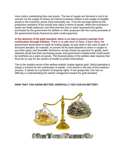more claims outstanding than real assets. The law of supply and demand is not to be conned. As the supply of money (of claims) increases relative to the supply of tangible assets in the economy, prices must eventually rise. Thus the earnings saved by the productive members of the society lose value in terms of goods. When the economy's books are finally balanced, one finds that this loss in value represents the goods purchased by the government for welfare or other purposes with the money proceeds of the government bonds financed by bank credit expansion.

**In the absence of the gold standard, there is no way to protect savings from confiscation through inflation**. There is no safe store of value. If there were, the government would have to make its holding illegal, as was done in the case of gold. If everyone decided, for example, to convert all his bank deposits to silver or copper or any other good, and thereafter declined to accept checks as payment for goods, bank deposits would lose their purchasing power and government-created bank credit would be worthless as a claim on goods. The financial policy of the welfare state requires that there be no way for the owners of wealth to protect themselves.

This is the shabby secret of the welfare statists' tirades against gold. Deficit spending is simply a scheme for the confiscation of wealth. Gold stands in the way of this insidious process. It stands as a protector of property rights. If one grasps this, one has no difficulty in understanding the statists' antagonism toward the gold standard.

## *NOW THAT YOU KNOW BETTER, HOPEFULLY YOU CAN DO BETTER?*